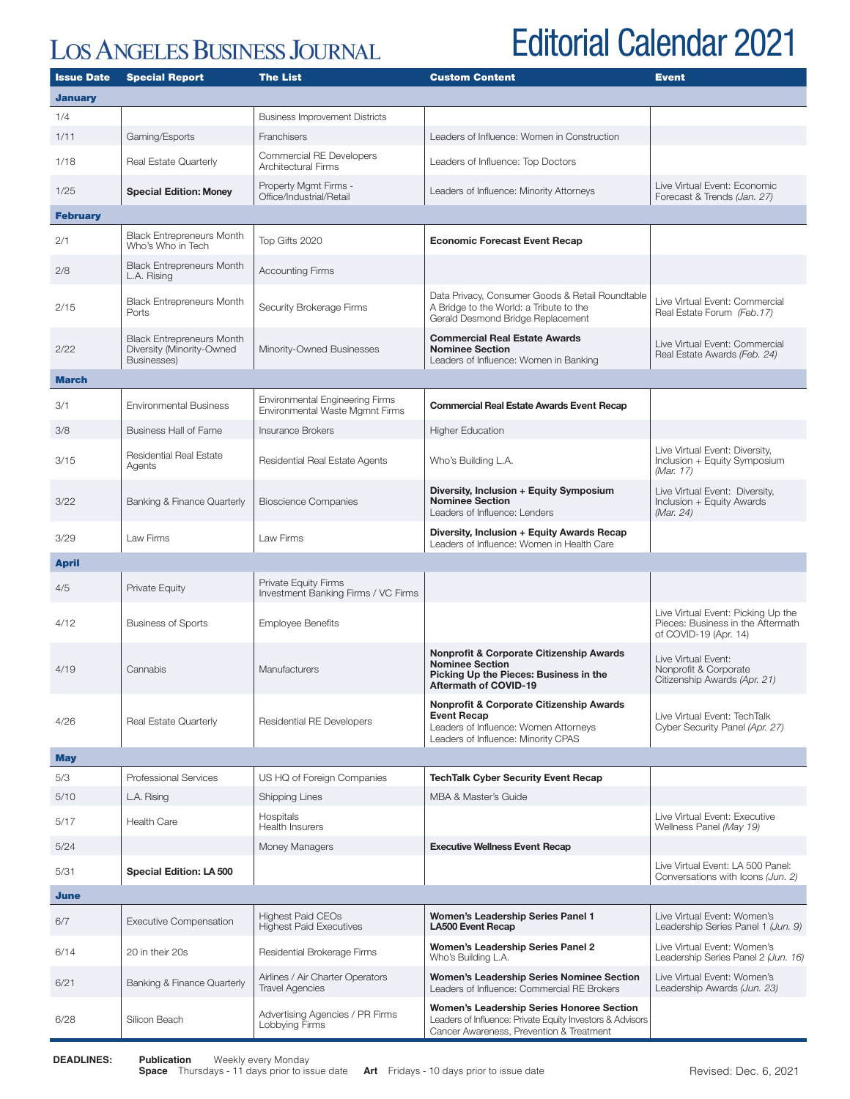## **LOS ANGELES BUSINESS JOURNAL**

## Editorial Calendar 2021

| <b>Issue Date</b> | <b>Special Report</b>                                                        | <b>The List</b>                                                           | <b>Custom Content</b>                                                                                                                                     | <b>Event</b>                                                                                     |  |  |  |
|-------------------|------------------------------------------------------------------------------|---------------------------------------------------------------------------|-----------------------------------------------------------------------------------------------------------------------------------------------------------|--------------------------------------------------------------------------------------------------|--|--|--|
| <b>January</b>    |                                                                              |                                                                           |                                                                                                                                                           |                                                                                                  |  |  |  |
| 1/4               |                                                                              | <b>Business Improvement Districts</b>                                     |                                                                                                                                                           |                                                                                                  |  |  |  |
| 1/11              | Gaming/Esports                                                               | <b>Franchisers</b>                                                        | Leaders of Influence: Women in Construction                                                                                                               |                                                                                                  |  |  |  |
| 1/18              | Real Estate Quarterly                                                        | Commercial RE Developers<br><b>Architectural Firms</b>                    | Leaders of Influence: Top Doctors                                                                                                                         |                                                                                                  |  |  |  |
| 1/25              | <b>Special Edition: Money</b>                                                | Property Mgmt Firms -<br>Office/Industrial/Retail                         | Leaders of Influence: Minority Attorneys                                                                                                                  | Live Virtual Event: Economic<br>Forecast & Trends (Jan. 27)                                      |  |  |  |
| <b>February</b>   |                                                                              |                                                                           |                                                                                                                                                           |                                                                                                  |  |  |  |
| 2/1               | <b>Black Entrepreneurs Month</b><br>Who's Who in Tech                        | Top Gifts 2020                                                            | <b>Economic Forecast Event Recap</b>                                                                                                                      |                                                                                                  |  |  |  |
| 2/8               | <b>Black Entrepreneurs Month</b><br>L.A. Rising                              | <b>Accounting Firms</b>                                                   |                                                                                                                                                           |                                                                                                  |  |  |  |
| 2/15              | <b>Black Entrepreneurs Month</b><br>Ports                                    | Security Brokerage Firms                                                  | Data Privacy, Consumer Goods & Retail Roundtable<br>A Bridge to the World: a Tribute to the<br>Gerald Desmond Bridge Replacement                          | Live Virtual Event: Commercial<br>Real Estate Forum (Feb. 17)                                    |  |  |  |
| 2/22              | <b>Black Entrepreneurs Month</b><br>Diversity (Minority-Owned<br>Businesses) | Minority-Owned Businesses                                                 | <b>Commercial Real Estate Awards</b><br><b>Nominee Section</b><br>Leaders of Influence: Women in Banking                                                  | Live Virtual Event: Commercial<br>Real Estate Awards (Feb. 24)                                   |  |  |  |
| March             |                                                                              |                                                                           |                                                                                                                                                           |                                                                                                  |  |  |  |
| 3/1               | <b>Environmental Business</b>                                                | <b>Environmental Engineering Firms</b><br>Environmental Waste Mgmnt Firms | <b>Commercial Real Estate Awards Event Recap</b>                                                                                                          |                                                                                                  |  |  |  |
| 3/8               | <b>Business Hall of Fame</b>                                                 | <b>Insurance Brokers</b>                                                  | <b>Higher Education</b>                                                                                                                                   |                                                                                                  |  |  |  |
| 3/15              | <b>Residential Real Estate</b><br>Agents                                     | Residential Real Estate Agents                                            | Who's Building L.A.                                                                                                                                       | Live Virtual Event: Diversity,<br>Inclusion + Equity Symposium<br>(Mar. 17)                      |  |  |  |
| 3/22              | Banking & Finance Quarterly                                                  | <b>Bioscience Companies</b>                                               | Diversity, Inclusion + Equity Symposium<br><b>Nominee Section</b><br>Leaders of Influence: Lenders                                                        | Live Virtual Event: Diversity,<br>Inclusion + Equity Awards<br>(Mar. 24)                         |  |  |  |
| 3/29              | Law Firms                                                                    | Law Firms                                                                 | Diversity, Inclusion + Equity Awards Recap<br>Leaders of Influence: Women in Health Care                                                                  |                                                                                                  |  |  |  |
| <b>April</b>      |                                                                              |                                                                           |                                                                                                                                                           |                                                                                                  |  |  |  |
| 4/5               | <b>Private Equity</b>                                                        | <b>Private Equity Firms</b><br>Investment Banking Firms / VC Firms        |                                                                                                                                                           |                                                                                                  |  |  |  |
| 4/12              | <b>Business of Sports</b>                                                    | <b>Employee Benefits</b>                                                  |                                                                                                                                                           | Live Virtual Event: Picking Up the<br>Pieces: Business in the Aftermath<br>of COVID-19 (Apr. 14) |  |  |  |
| 4/19              | Cannabis                                                                     | Manufacturers                                                             | <b>Nonprofit &amp; Corporate Citizenship Awards</b><br><b>Nominee Section</b><br>Picking Up the Pieces: Business in the<br>Aftermath of COVID-19          | Live Virtual Event:<br>Nonprofit & Corporate<br>Citizenship Awards (Apr. 21)                     |  |  |  |
| 4/26              | Real Estate Quarterly                                                        | Residential RE Developers                                                 | <b>Nonprofit &amp; Corporate Citizenship Awards</b><br><b>Event Recap</b><br>Leaders of Influence: Women Attorneys<br>Leaders of Influence: Minority CPAS | Live Virtual Event: TechTalk<br>Cyber Security Panel (Apr. 27)                                   |  |  |  |
| <b>May</b>        |                                                                              |                                                                           |                                                                                                                                                           |                                                                                                  |  |  |  |
| 5/3               | Professional Services                                                        | US HQ of Foreign Companies                                                | <b>TechTalk Cyber Security Event Recap</b>                                                                                                                |                                                                                                  |  |  |  |
| 5/10              | L.A. Rising                                                                  | <b>Shipping Lines</b>                                                     | MBA & Master's Guide                                                                                                                                      |                                                                                                  |  |  |  |
| 5/17              | <b>Health Care</b>                                                           | Hospitals<br><b>Health Insurers</b>                                       |                                                                                                                                                           | Live Virtual Event: Executive<br>Wellness Panel (May 19)                                         |  |  |  |
| 5/24              |                                                                              | Money Managers                                                            | <b>Executive Wellness Event Recap</b>                                                                                                                     |                                                                                                  |  |  |  |
| 5/31              | <b>Special Edition: LA 500</b>                                               |                                                                           |                                                                                                                                                           | Live Virtual Event: LA 500 Panel:<br>Conversations with Icons (Jun. 2)                           |  |  |  |
| June              |                                                                              |                                                                           |                                                                                                                                                           |                                                                                                  |  |  |  |
| 6/7               | <b>Executive Compensation</b>                                                | <b>Highest Paid CEOs</b><br><b>Highest Paid Executives</b>                | <b>Women's Leadership Series Panel 1</b><br>LA500 Event Recap                                                                                             | Live Virtual Event: Women's<br>Leadership Series Panel 1 (Jun. 9)                                |  |  |  |
| 6/14              | 20 in their 20s                                                              | Residential Brokerage Firms                                               | Women's Leadership Series Panel 2<br>Who's Building L.A.                                                                                                  | Live Virtual Event: Women's<br>Leadership Series Panel 2 (Jun. 16)                               |  |  |  |
| 6/21              | Banking & Finance Quarterly                                                  | Airlines / Air Charter Operators<br><b>Travel Agencies</b>                | Women's Leadership Series Nominee Section<br>Leaders of Influence: Commercial RE Brokers                                                                  | Live Virtual Event: Women's<br>Leadership Awards (Jun. 23)                                       |  |  |  |
| 6/28              | Silicon Beach                                                                | Advertising Agencies / PR Firms<br>Lobbying Firms                         | Women's Leadership Series Honoree Section<br>Leaders of Influence: Private Equity Investors & Advisors<br>Cancer Awareness, Prevention & Treatment        |                                                                                                  |  |  |  |